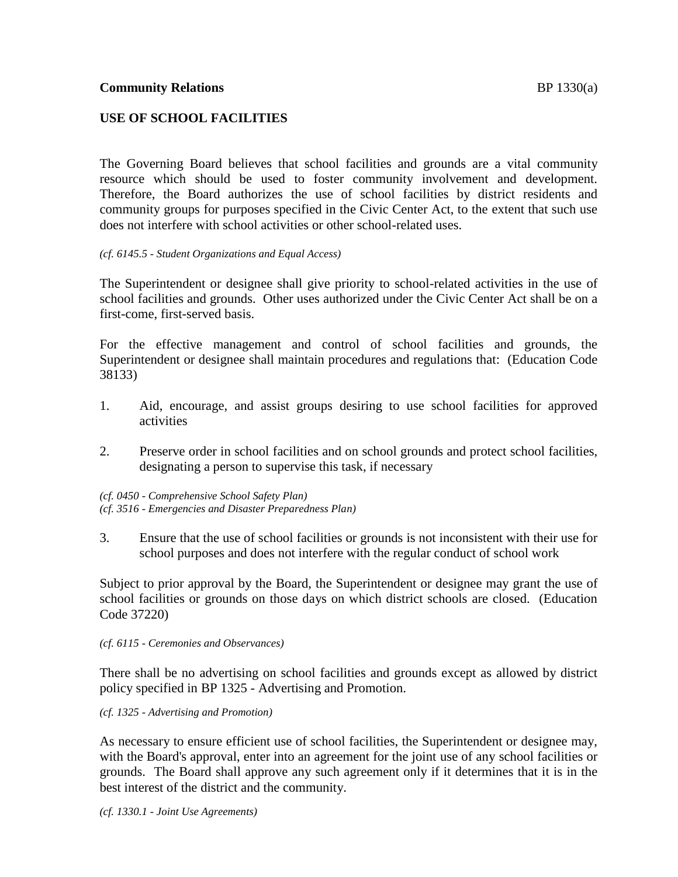# **USE OF SCHOOL FACILITIES**

The Governing Board believes that school facilities and grounds are a vital community resource which should be used to foster community involvement and development. Therefore, the Board authorizes the use of school facilities by district residents and community groups for purposes specified in the Civic Center Act, to the extent that such use does not interfere with school activities or other school-related uses.

#### *(cf. 6145.5 - Student Organizations and Equal Access)*

The Superintendent or designee shall give priority to school-related activities in the use of school facilities and grounds. Other uses authorized under the Civic Center Act shall be on a first-come, first-served basis.

For the effective management and control of school facilities and grounds, the Superintendent or designee shall maintain procedures and regulations that: (Education Code 38133)

- 1. Aid, encourage, and assist groups desiring to use school facilities for approved activities
- 2. Preserve order in school facilities and on school grounds and protect school facilities, designating a person to supervise this task, if necessary

*(cf. 0450 - Comprehensive School Safety Plan) (cf. 3516 - Emergencies and Disaster Preparedness Plan)*

3. Ensure that the use of school facilities or grounds is not inconsistent with their use for school purposes and does not interfere with the regular conduct of school work

Subject to prior approval by the Board, the Superintendent or designee may grant the use of school facilities or grounds on those days on which district schools are closed. (Education Code 37220)

#### *(cf. 6115 - Ceremonies and Observances)*

There shall be no advertising on school facilities and grounds except as allowed by district policy specified in BP 1325 - Advertising and Promotion.

*(cf. 1325 - Advertising and Promotion)*

As necessary to ensure efficient use of school facilities, the Superintendent or designee may, with the Board's approval, enter into an agreement for the joint use of any school facilities or grounds. The Board shall approve any such agreement only if it determines that it is in the best interest of the district and the community.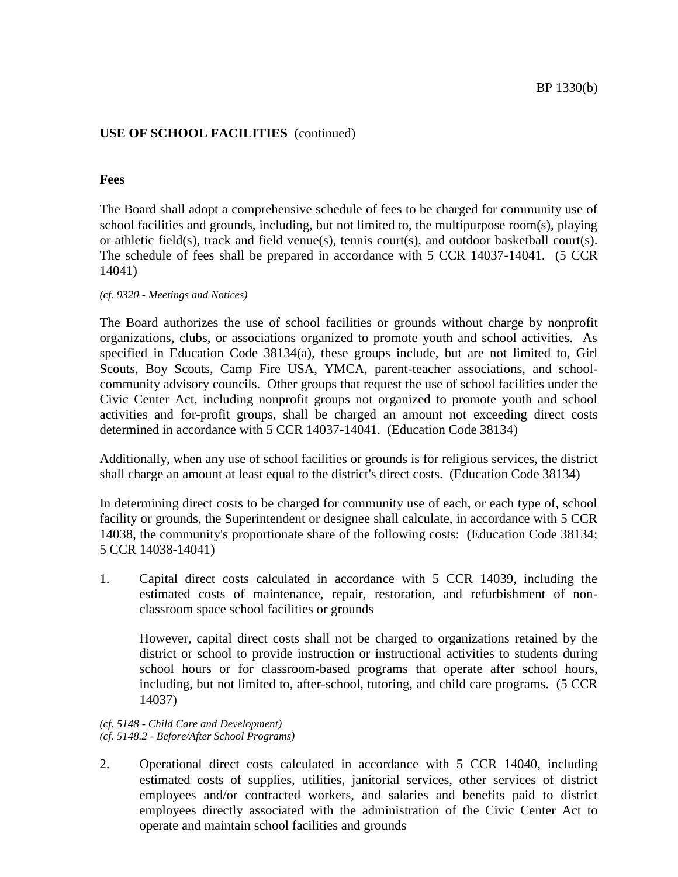## **Fees**

The Board shall adopt a comprehensive schedule of fees to be charged for community use of school facilities and grounds, including, but not limited to, the multipurpose room(s), playing or athletic field(s), track and field venue(s), tennis court(s), and outdoor basketball court(s). The schedule of fees shall be prepared in accordance with 5 CCR 14037-14041. (5 CCR 14041)

*(cf. 9320 - Meetings and Notices)*

The Board authorizes the use of school facilities or grounds without charge by nonprofit organizations, clubs, or associations organized to promote youth and school activities. As specified in Education Code 38134(a), these groups include, but are not limited to, Girl Scouts, Boy Scouts, Camp Fire USA, YMCA, parent-teacher associations, and schoolcommunity advisory councils. Other groups that request the use of school facilities under the Civic Center Act, including nonprofit groups not organized to promote youth and school activities and for-profit groups, shall be charged an amount not exceeding direct costs determined in accordance with 5 CCR 14037-14041. (Education Code 38134)

Additionally, when any use of school facilities or grounds is for religious services, the district shall charge an amount at least equal to the district's direct costs. (Education Code 38134)

In determining direct costs to be charged for community use of each, or each type of, school facility or grounds, the Superintendent or designee shall calculate, in accordance with 5 CCR 14038, the community's proportionate share of the following costs: (Education Code 38134; 5 CCR 14038-14041)

1. Capital direct costs calculated in accordance with 5 CCR 14039, including the estimated costs of maintenance, repair, restoration, and refurbishment of nonclassroom space school facilities or grounds

However, capital direct costs shall not be charged to organizations retained by the district or school to provide instruction or instructional activities to students during school hours or for classroom-based programs that operate after school hours, including, but not limited to, after-school, tutoring, and child care programs. (5 CCR 14037)

#### *(cf. 5148 - Child Care and Development) (cf. 5148.2 - Before/After School Programs)*

2. Operational direct costs calculated in accordance with 5 CCR 14040, including estimated costs of supplies, utilities, janitorial services, other services of district employees and/or contracted workers, and salaries and benefits paid to district employees directly associated with the administration of the Civic Center Act to operate and maintain school facilities and grounds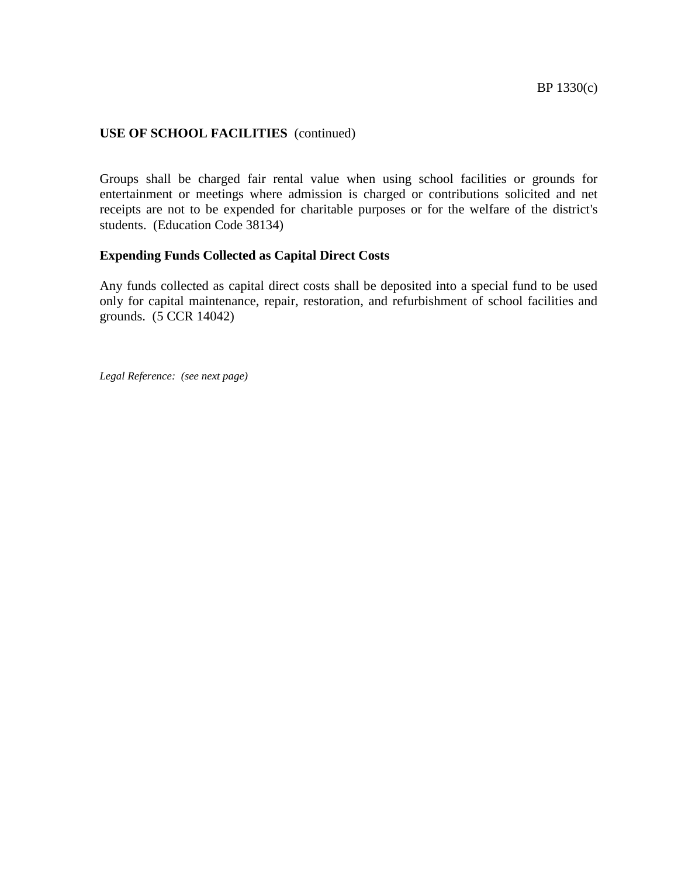Groups shall be charged fair rental value when using school facilities or grounds for entertainment or meetings where admission is charged or contributions solicited and net receipts are not to be expended for charitable purposes or for the welfare of the district's students. (Education Code 38134)

## **Expending Funds Collected as Capital Direct Costs**

Any funds collected as capital direct costs shall be deposited into a special fund to be used only for capital maintenance, repair, restoration, and refurbishment of school facilities and grounds. (5 CCR 14042)

*Legal Reference: (see next page)*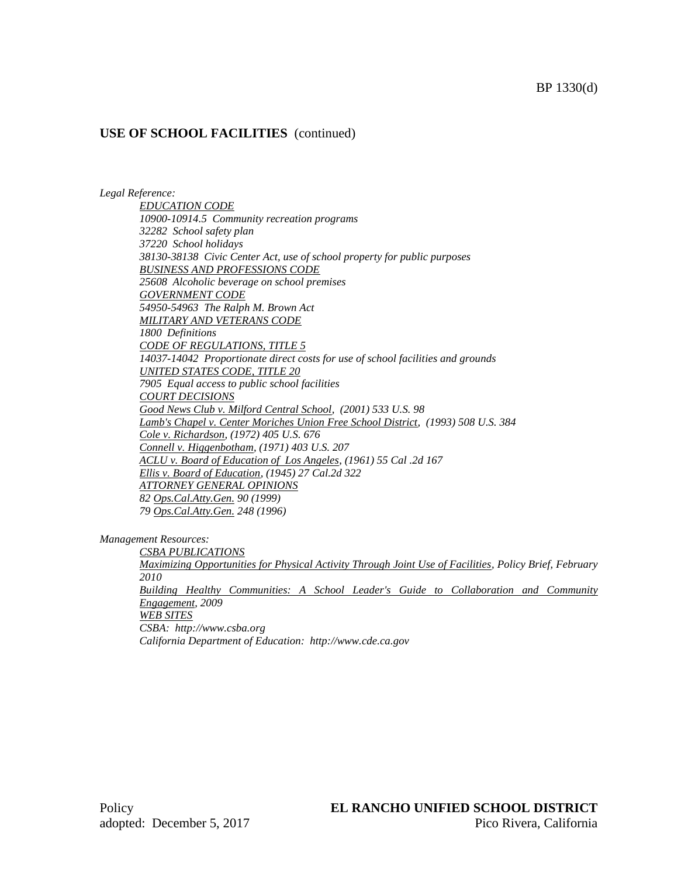#### *Legal Reference:*

*EDUCATION CODE 10900-10914.5 Community recreation programs 32282 School safety plan 37220 School holidays 38130-38138 Civic Center Act, use of school property for public purposes BUSINESS AND PROFESSIONS CODE 25608 Alcoholic beverage on school premises GOVERNMENT CODE 54950-54963 The Ralph M. Brown Act MILITARY AND VETERANS CODE 1800 Definitions CODE OF REGULATIONS, TITLE 5 14037-14042 Proportionate direct costs for use of school facilities and grounds UNITED STATES CODE, TITLE 20 7905 Equal access to public school facilities COURT DECISIONS Good News Club v. Milford Central School, (2001) 533 U.S. 98 Lamb's Chapel v. Center Moriches Union Free School District, (1993) 508 U.S. 384 Cole v. Richardson, (1972) 405 U.S. 676 Connell v. Higgenbotham, (1971) 403 U.S. 207 ACLU v. Board of Education of Los Angeles, (1961) 55 Cal .2d 167 Ellis v. Board of Education, (1945) 27 Cal.2d 322 ATTORNEY GENERAL OPINIONS 82 Ops.Cal.Atty.Gen. 90 (1999) 79 Ops.Cal.Atty.Gen. 248 (1996)*

*Management Resources:*

*CSBA PUBLICATIONS Maximizing Opportunities for Physical Activity Through Joint Use of Facilities, Policy Brief, February 2010 Building Healthy Communities: A School Leader's Guide to Collaboration and Community Engagement, 2009 WEB SITES CSBA: http://www.csba.org California Department of Education: http://www.cde.ca.gov*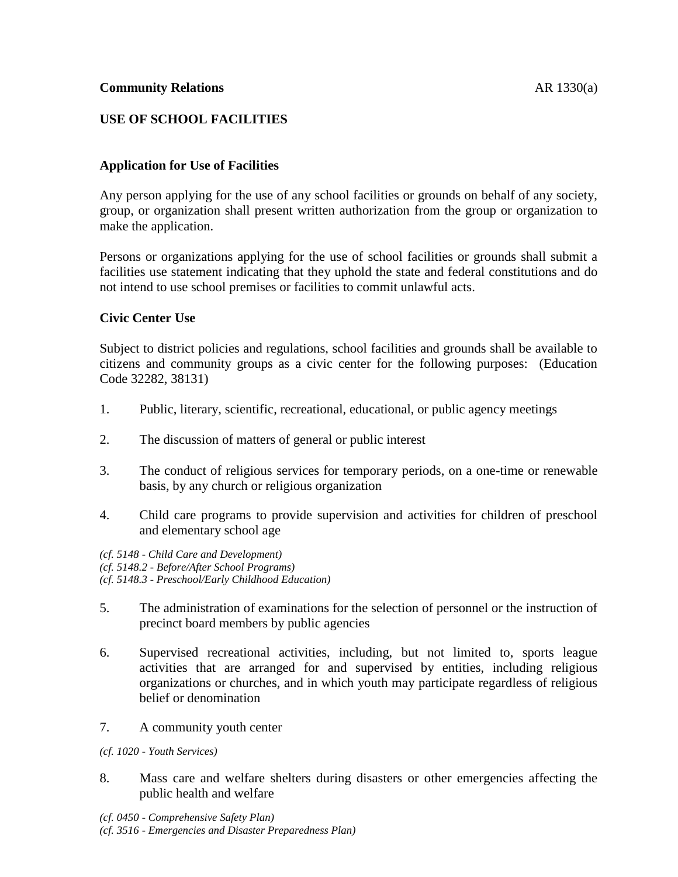# **USE OF SCHOOL FACILITIES**

## **Application for Use of Facilities**

Any person applying for the use of any school facilities or grounds on behalf of any society, group, or organization shall present written authorization from the group or organization to make the application.

Persons or organizations applying for the use of school facilities or grounds shall submit a facilities use statement indicating that they uphold the state and federal constitutions and do not intend to use school premises or facilities to commit unlawful acts.

#### **Civic Center Use**

Subject to district policies and regulations, school facilities and grounds shall be available to citizens and community groups as a civic center for the following purposes: (Education Code 32282, 38131)

- 1. Public, literary, scientific, recreational, educational, or public agency meetings
- 2. The discussion of matters of general or public interest
- 3. The conduct of religious services for temporary periods, on a one-time or renewable basis, by any church or religious organization
- 4. Child care programs to provide supervision and activities for children of preschool and elementary school age

*(cf. 5148 - Child Care and Development) (cf. 5148.2 - Before/After School Programs) (cf. 5148.3 - Preschool/Early Childhood Education)*

- 5. The administration of examinations for the selection of personnel or the instruction of precinct board members by public agencies
- 6. Supervised recreational activities, including, but not limited to, sports league activities that are arranged for and supervised by entities, including religious organizations or churches, and in which youth may participate regardless of religious belief or denomination
- 7. A community youth center
- *(cf. 1020 - Youth Services)*
- 8. Mass care and welfare shelters during disasters or other emergencies affecting the public health and welfare

*(cf. 0450 - Comprehensive Safety Plan) (cf. 3516 - Emergencies and Disaster Preparedness Plan)*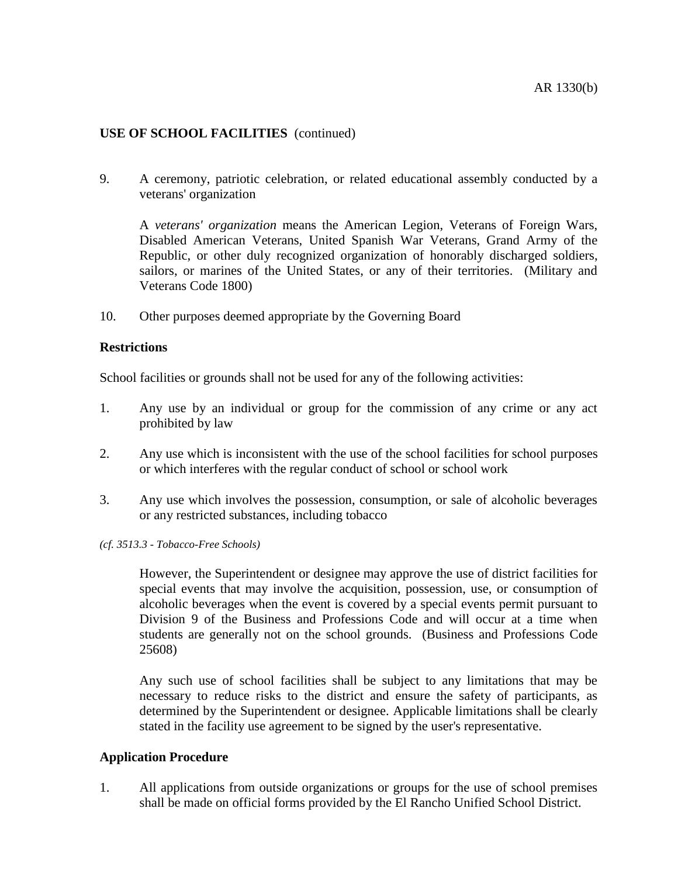9. A ceremony, patriotic celebration, or related educational assembly conducted by a veterans' organization

A *veterans' organization* means the American Legion, Veterans of Foreign Wars, Disabled American Veterans, United Spanish War Veterans, Grand Army of the Republic, or other duly recognized organization of honorably discharged soldiers, sailors, or marines of the United States, or any of their territories. (Military and Veterans Code 1800)

10. Other purposes deemed appropriate by the Governing Board

## **Restrictions**

School facilities or grounds shall not be used for any of the following activities:

- 1. Any use by an individual or group for the commission of any crime or any act prohibited by law
- 2. Any use which is inconsistent with the use of the school facilities for school purposes or which interferes with the regular conduct of school or school work
- 3. Any use which involves the possession, consumption, or sale of alcoholic beverages or any restricted substances, including tobacco
- *(cf. 3513.3 - Tobacco-Free Schools)*

However, the Superintendent or designee may approve the use of district facilities for special events that may involve the acquisition, possession, use, or consumption of alcoholic beverages when the event is covered by a special events permit pursuant to Division 9 of the Business and Professions Code and will occur at a time when students are generally not on the school grounds. (Business and Professions Code 25608)

Any such use of school facilities shall be subject to any limitations that may be necessary to reduce risks to the district and ensure the safety of participants, as determined by the Superintendent or designee. Applicable limitations shall be clearly stated in the facility use agreement to be signed by the user's representative.

#### **Application Procedure**

1. All applications from outside organizations or groups for the use of school premises shall be made on official forms provided by the El Rancho Unified School District.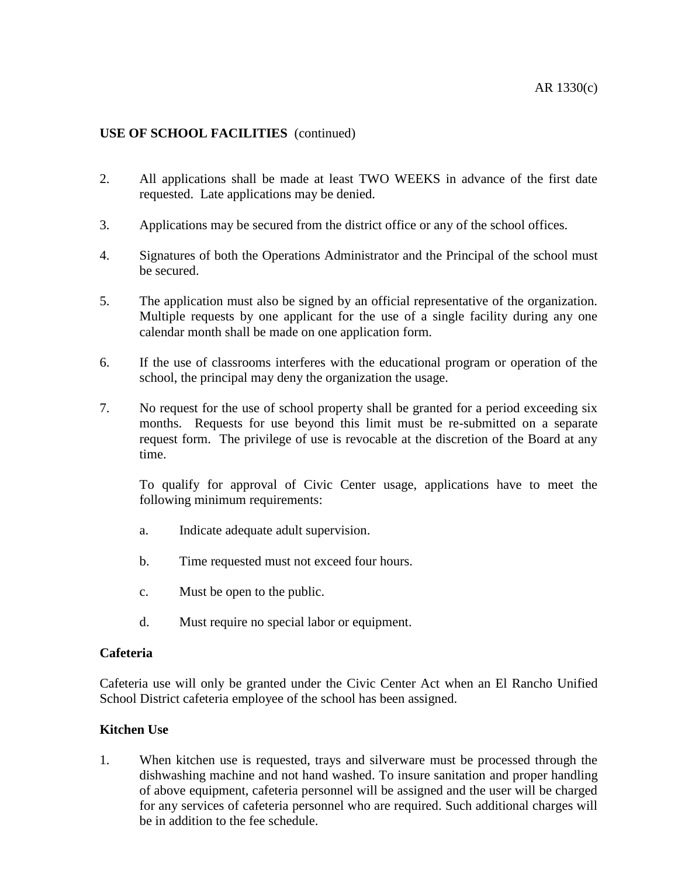- 2. All applications shall be made at least TWO WEEKS in advance of the first date requested. Late applications may be denied.
- 3. Applications may be secured from the district office or any of the school offices.
- 4. Signatures of both the Operations Administrator and the Principal of the school must be secured.
- 5. The application must also be signed by an official representative of the organization. Multiple requests by one applicant for the use of a single facility during any one calendar month shall be made on one application form.
- 6. If the use of classrooms interferes with the educational program or operation of the school, the principal may deny the organization the usage.
- 7. No request for the use of school property shall be granted for a period exceeding six months. Requests for use beyond this limit must be re-submitted on a separate request form. The privilege of use is revocable at the discretion of the Board at any time.

To qualify for approval of Civic Center usage, applications have to meet the following minimum requirements:

- a. Indicate adequate adult supervision.
- b. Time requested must not exceed four hours.
- c. Must be open to the public.
- d. Must require no special labor or equipment.

#### **Cafeteria**

Cafeteria use will only be granted under the Civic Center Act when an El Rancho Unified School District cafeteria employee of the school has been assigned.

## **Kitchen Use**

1. When kitchen use is requested, trays and silverware must be processed through the dishwashing machine and not hand washed. To insure sanitation and proper handling of above equipment, cafeteria personnel will be assigned and the user will be charged for any services of cafeteria personnel who are required. Such additional charges will be in addition to the fee schedule.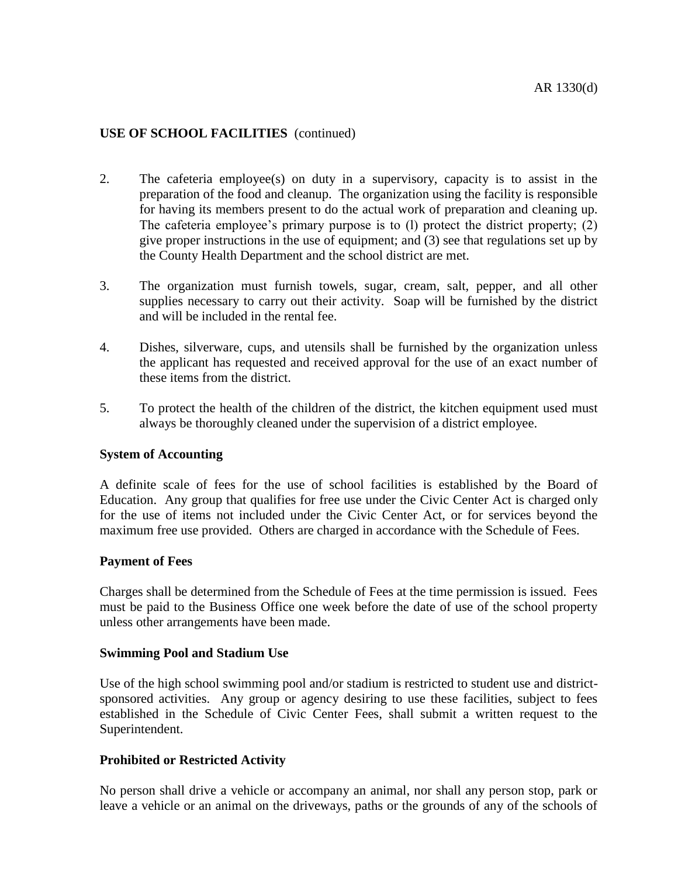- 2. The cafeteria employee(s) on duty in a supervisory, capacity is to assist in the preparation of the food and cleanup. The organization using the facility is responsible for having its members present to do the actual work of preparation and cleaning up. The cafeteria employee's primary purpose is to (l) protect the district property; (2) give proper instructions in the use of equipment; and (3) see that regulations set up by the County Health Department and the school district are met.
- 3. The organization must furnish towels, sugar, cream, salt, pepper, and all other supplies necessary to carry out their activity. Soap will be furnished by the district and will be included in the rental fee.
- 4. Dishes, silverware, cups, and utensils shall be furnished by the organization unless the applicant has requested and received approval for the use of an exact number of these items from the district.
- 5. To protect the health of the children of the district, the kitchen equipment used must always be thoroughly cleaned under the supervision of a district employee.

## **System of Accounting**

A definite scale of fees for the use of school facilities is established by the Board of Education. Any group that qualifies for free use under the Civic Center Act is charged only for the use of items not included under the Civic Center Act, or for services beyond the maximum free use provided. Others are charged in accordance with the Schedule of Fees.

#### **Payment of Fees**

Charges shall be determined from the Schedule of Fees at the time permission is issued. Fees must be paid to the Business Office one week before the date of use of the school property unless other arrangements have been made.

#### **Swimming Pool and Stadium Use**

Use of the high school swimming pool and/or stadium is restricted to student use and districtsponsored activities. Any group or agency desiring to use these facilities, subject to fees established in the Schedule of Civic Center Fees, shall submit a written request to the Superintendent.

## **Prohibited or Restricted Activity**

No person shall drive a vehicle or accompany an animal, nor shall any person stop, park or leave a vehicle or an animal on the driveways, paths or the grounds of any of the schools of